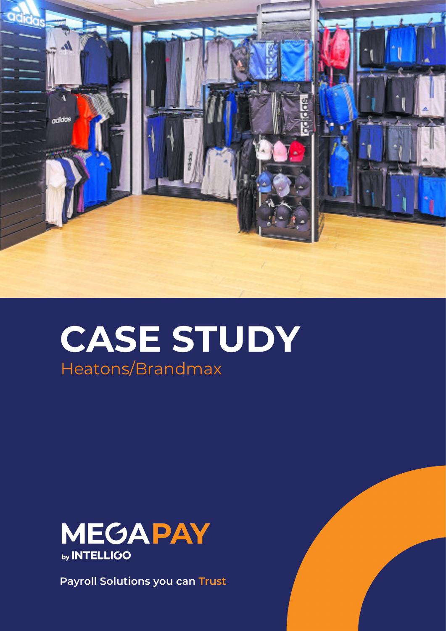

# **CASE STUDY** Heatons/Brandmax



**Payroll Solutions you can Trust**